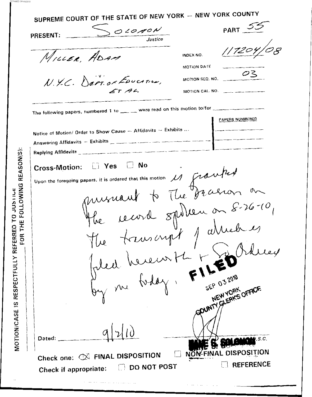| OLOMON<br>PRESENT: ______                                                               | PART $55$                                                                          |
|-----------------------------------------------------------------------------------------|------------------------------------------------------------------------------------|
| Justice                                                                                 |                                                                                    |
| MILLER ADAM                                                                             | 117204/<br>INDEX NO.<br>MOTION DATE                                                |
| N.Y.C. DEPT. OF EDUCATION,<br>ETAL                                                      | $\overline{\phantom{0}}^{03}$<br>MOTION SEQ. NO.<br>MOTION CAL. NO. _____ ________ |
|                                                                                         |                                                                                    |
| The following papers, numbered 1 to ___ _ were read on this motion to/for _____________ | PAPERS NUMBERED                                                                    |
| Notice of Motion/ Order to Show Cause - Affidavits - Exhibits                           |                                                                                    |
|                                                                                         |                                                                                    |
|                                                                                         |                                                                                    |
|                                                                                         |                                                                                    |
| Cross-Motion: [] Yes [] No                                                              |                                                                                    |
|                                                                                         |                                                                                    |
|                                                                                         |                                                                                    |
|                                                                                         |                                                                                    |
|                                                                                         |                                                                                    |
|                                                                                         |                                                                                    |
|                                                                                         |                                                                                    |
|                                                                                         |                                                                                    |
| upon the foregoing papers, it is ordered that this motion is prouted                    |                                                                                    |
|                                                                                         |                                                                                    |
|                                                                                         |                                                                                    |
|                                                                                         |                                                                                    |
|                                                                                         |                                                                                    |
| The truscript patried es                                                                |                                                                                    |
|                                                                                         | GOUNTY SLEAKS OFFICE                                                               |
|                                                                                         |                                                                                    |
| Dated: $\_\_\_\_\$                                                                      | 1, S.C.                                                                            |

 $\ddotsc$ 

MOTION/CASE IS RESPECTFULLY REFERRED TO JUSTICE<br>CONTINUALLY RESPECTFULLY REFERRED TO JUSTICE REASON(S):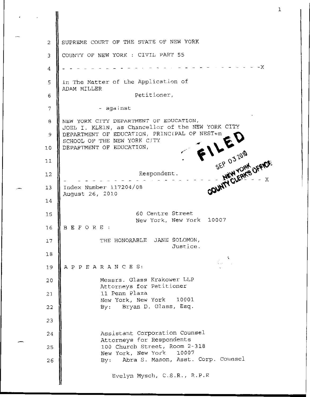SUPREME COURT OF THE STATE OF NEW YORK *2*  COUNTY OF NEW YORK : CIVIL PART 55 *3*   $- X$ 4 n The Matter of the Application of 5 ADAM MILLER Petitioner, *6 7*  - **against**  IEW YORK CITY DEPARTMENT OF EDUCATION, *8*  Respondent. TOEL I. KLElN *I*  **as** Chancellor of the NEW YORK CITY IEPARTMENT OF EDUCATION, PRINClPAL **OF** NEST+m 9 ;CHOOL OF THE NEW YORK CITY IEPARTMENT OF EDUCATION, 10 11 12 **Index** Number 117204/08 .- **<sup>13</sup>** 4ugust *26,* 2010 14 *60* Centre Street 15 New **York,** New **York**  10007 BEFORE: 16 THE HONORABLE JANE SOLOMON, 17 Justice. **18**  A P P E A RAN *C* E *S:*  1s Messrs. Glass Krakower LLP 2c Attorneys for Petitioner 11 **Penn** Plaza 21 New **York,** New York 10001 By: Bryan D. Glass, Esq. *2; 2:*  Assistant Corporation Counsel 24 **Attorneys** for **Respondents**  100 Church **Street,** Room **2-318**  *25*  **New** York, New York **10007**  By: Abra *S.* **Mason,** Asst. **Corp.** Counsel 26 Evelyn Mysch, C.S .R., R.P.R

*.c*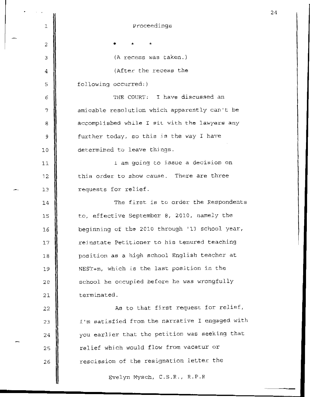Proceedings 1 \* \* *2 3*  (A recess was taken.) (After the recess the 4 *5*  following occurred:) THE COURT: **I** have discussed an **6 amicable** resol.ution which apparently can't **be**  *7 8*  accomplished while I sit with the lawyers any further today, so this is the way I have 9 determined to leave things .  $10$ 1 am going to j.ssue a **decision** on 11 12 this order to show cause. There are three  $\sim$  13 requests for relief. The first is to order the Respondents 14 to, effective **September** 8, 2010, namely the 15 16 beginning of the 2010 through '11 school year, reinstate **Petitioner to** his tenured teaching 17 position as **a** high school English teacher at  $18$ NEST+m, which is the last position in the 19 school he **occupied before** he was wrongfully *2(*  terminated. *2:*  As to that fj.rst **request** for: relief, 2: I'm satisfied from the narrative I engaged with 23 you earlier that the petition was seeking that *2*  relief which **would** flow from vacatur or 25 rescission of the resignation **letter** the 26 Evelyn **Mysch,** C.S.R., R.P.R

-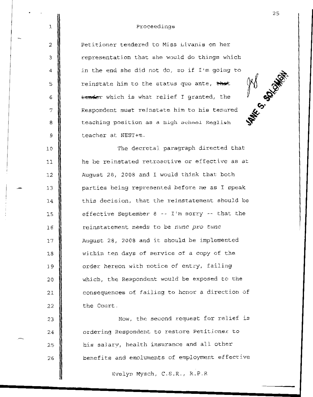## Proceedings

I

*2* 

*3* 

4

*5* 

6

**7** 

a

9

10

11

1;

15

14

16

17

18

19

20

21

*22* 

*23* 

24

*25* 

*26* 

\_- 1:

&

Petitioner tendered to Miss Livanis on her representation that she would **do things** which in **the end** she did not do, so if I'm going **to**  reinstate him to the status quo ante, that *e* which **is** what relief 1 granted, the Respondent: **must** reinstate him to his tenured **teaching position** as a high **school** English teacher at NEST+m.

The decretal paragraph directed **that**  he be reinstated **retroactive** or effective as at **August** *28,* 2008 and **I would** think that both parties being represented **before me as** I speak **this decision,** that the **reinstatement should be**  effective September 8 -- I'm sorry -- that the reinstatement needs to be *nunc pro tunc*  August 28, 2008 and it should be implemented within **ten** days of service of **a** copy of the **order** hereon with **notice of** entry, failing which, the Respondent would be **exposed to** the **consequences** of failing **to** honor a direction **of**  the Court.

Now, the **second request** for relief *is*  **ordering** Respondent to **restore** Petitjoner **to**  his salary, health **insurance** and all other benefits and emoluments of employment effective

Evelyn **Mysch,** C.S.R., R.P.R

25

**PAK 5 SOOM**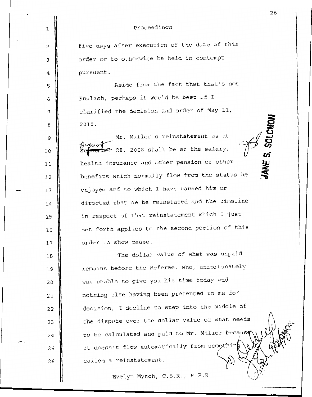|  |     | 26                                                  |
|--|-----|-----------------------------------------------------|
|  | 1   | Proceedings                                         |
|  | 2   | five days after execution of the date of this       |
|  | 3   | order or to otherwise be held in contempt           |
|  | 4   | pursuant.                                           |
|  | 5   | Aside from the fact that that's not                 |
|  | 6   | English, perhaps it would be best if I              |
|  | 7   | clarified the decision and order of May 11,         |
|  | 8   | 'S. SOLOMON<br>2010.                                |
|  | 9   | Mr. Miller's reinstatement as at                    |
|  | 10  | ember 28, 2008 shall be at the salary,              |
|  | 11  | JANE<br>health insurance and other pension or other |
|  | 12  | benefits which normally flow from the status he     |
|  | 13  | enjoyed and to which I have caused him or           |
|  | 14  | directed that he be reinstated and the timeline     |
|  | 15  | in respect of that reinstatement which I just       |
|  | 1.6 | set forth applies to the second portion of this     |
|  | 17  | order to show cause.                                |
|  | 18  | The dollar value of what was unpaid                 |
|  | 1.9 | remains before the Referee, who, unfortunately      |
|  | 20  | was unable to give you his time today and           |
|  | 21  | nothing else having been presented to me for        |
|  | 22  | decision, I decline to step into the middle of      |
|  | 23  | the dispute over the dollar value of what needs     |
|  | 24  | to be calculated and paid to Mr. Miller because     |
|  | 25  | it doesn't flow automatically from something        |
|  | 26  | called a reinstatement.                             |
|  |     | Evelyn Mysch, C.S.R., R.P.R                         |

*26*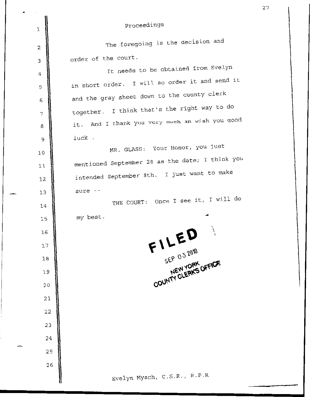| $\mathfrak{r}$<br>1 | Proceedings                                     |
|---------------------|-------------------------------------------------|
| 2                   | The foregoing is the decision and               |
| 3                   | order of the court.                             |
| 4                   | It needs to be obtained from Evelyn             |
| 5                   | in short order. I will so order it and send it  |
| 6                   | and the gray sheet down to the county clerk     |
| 7                   | together. I think that's the right way to do    |
| 8                   | it. And I thank you very much an wish you good  |
| 9                   | luck.                                           |
| 10                  | MR. GLASS: Your Honor, you just                 |
| 11                  | mentioned September 28 as the date; I think you |
| 12                  | intended September 8th. I just want to make     |
| 13                  | sure $-$                                        |
| 14                  | THE COURT: Once I see it, I will do             |
| 15                  | my best.                                        |
| 16                  |                                                 |
| 17                  | $FILED\nSEP O32010$                             |
| 18                  |                                                 |
| 19                  | COUNTY CLEAKS OFFICE                            |
| 20                  |                                                 |
| 21                  |                                                 |
| 22                  |                                                 |
| 23                  |                                                 |
| 24                  |                                                 |
| 25                  |                                                 |
| 26                  |                                                 |
|                     | Evelyn Mysch, C.S.R., R.P.R                     |